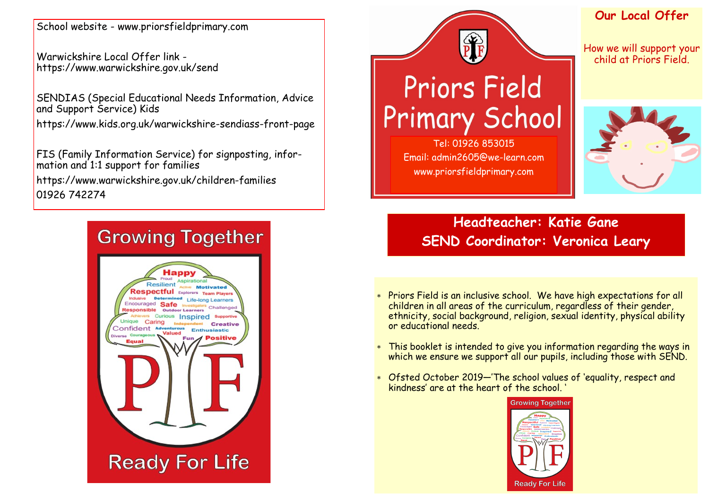School website - www.priorsfieldprimary.com

Warwickshire Local Offer link https://www.warwickshire.gov.uk/send

SENDIAS (Special Educational Needs Information, Advice and Support Service) Kids

https://www.kids.org.uk/warwickshire-sendiass-front-page

FIS (Family Information Service) for signposting, information and 1:1 support for families

https://www.warwickshire.gov.uk/children-families 01926 742274

# **Growing Together**



# **Priors Field Primary School**

Tel: 01926 853015 Email: admin2605@we-learn.com www.priorsfieldprimary.com

#### **Our Local Offer**

How we will support your child at Priors Field.



**Headteacher: Katie Gane SEND Coordinator: Veronica Leary**

- Priors Field is an inclusive school. We have high expectations for all children in all areas of the curriculum, regardless of their gender, ethnicity, social background, religion, sexual identity, physical ability or educational needs.
- This booklet is intended to give you information regarding the ways in which we ensure we support all our pupils, including those with SEND.
- Ofsted October 2019—'The school values of 'equality, respect and kindness' are at the heart of the school. '

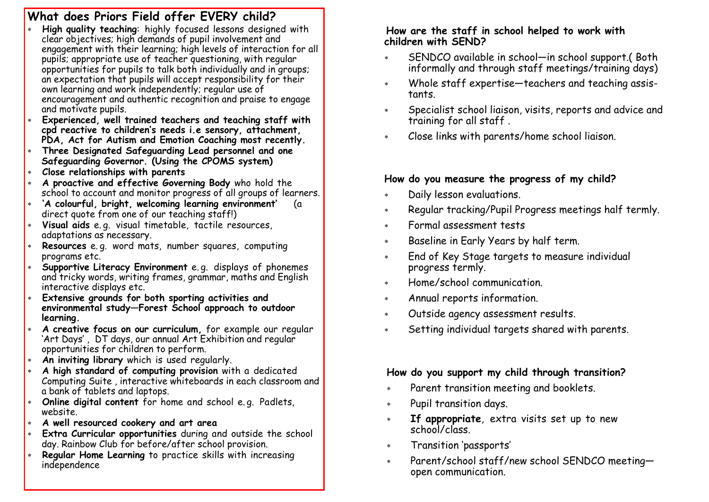## **What does Priors Field offer EVERY child?**

- **High quality teaching**: highly focused lessons designed with clear objectives; high demands of pupil involvement and engagement with their learning; high levels of interaction for all pupils; appropriate use of teacher questioning, with regular opportunities for pupils to talk both individually and in groups; an expectation that pupils will accept responsibility for their own learning and work independently; regular use of encouragement and authentic recognition and praise to engage and motivate pupils.
- **Experienced, well trained teachers and teaching staff with cpd reactive to children's needs i.e sensory, attachment, PDA, Act for Autism and Emotion Coaching most recently.**
- **Three Designated Safeguarding Lead personnel and one Safeguarding Governor. (Using the CPOMS system)**
- **Close relationships with parents**
- **A proactive and effective Governing Body** who hold the school to account and monitor progress of all groups of learners.
- **'A colourful, bright, welcoming learning environment'** (a direct quote from one of our teaching staff!)
- **Visual aids** e. g. visual timetable, tactile resources, adaptations as necessary.
- **Resources** e. g. word mats, number squares, computing programs etc.
- **Supportive Literacy Environment** e. g. displays of phonemes and tricky words, writing frames, grammar, maths and English interactive displays etc.
- **Extensive grounds for both sporting activities and environmental study—Forest School approach to outdoor learning.**
- **A creative focus on our curriculum,** for example our regular 'Art Days' , DT days, our annual Art Exhibition and regular opportunities for children to perform.
- **An inviting library** which is used regularly.
- **A high standard of computing provision** with a dedicated Computing Suite , interactive whiteboards in each classroom and a bank of tablets and laptops.
- **Online digital content** for home and school e. g. Padlets, website.
- **A well resourced cookery and art area**
- **Extra Curricular opportunities** during and outside the school day. Rainbow Club for before/after school provision.
- **Regular Home Learning** to practice skills with increasing independence

#### **How are the staff in school helped to work with children with SEND?**

- SENDCO available in school—in school support.( Both informally and through staff meetings/training days)
- Whole staff expertise—teachers and teaching assistants.
- Specialist school liaison, visits, reports and advice and training for all staff .
- Close links with parents/home school liaison.

## **How do you measure the progress of my child?**

- Daily lesson evaluations.
- Regular tracking/Pupil Progress meetings half termly.
- Formal assessment tests
- Baseline in Early Years by half term.
- End of Key Stage targets to measure individual progress termly.
- Home/school communication.
- Annual reports information.
- Outside agency assessment results.
- Setting individual targets shared with parents.

#### **How do you support my child through transition?**

- Parent transition meeting and booklets.
- Pupil transition days.
- **If appropriate**, extra visits set up to new school/class.
- Transition 'passports'
- Parent/school staff/new school SENDCO meeting open communication.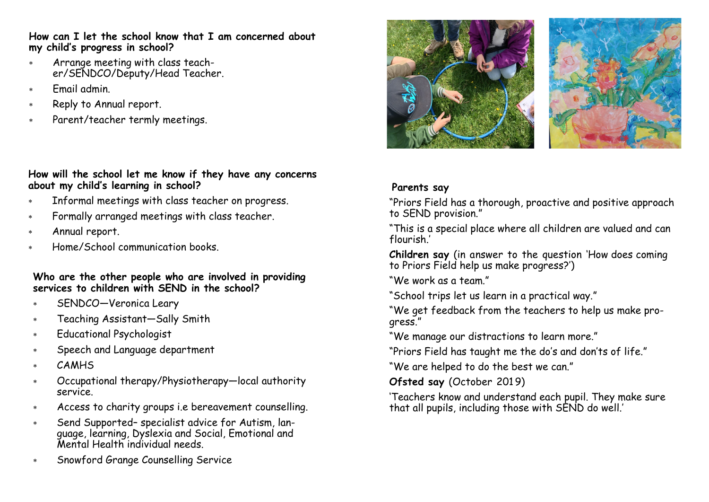#### **How can I let the school know that I am concerned about my child's progress in school?**

- Arrange meeting with class teacher/SENDCO/Deputy/Head Teacher.
- Email admin.
- \* Reply to Annual report.
- Parent/teacher termly meetings.

#### **How will the school let me know if they have any concerns about my child's learning in school?**

- Informal meetings with class teacher on progress.
- Formally arranged meetings with class teacher.
- Annual report.
- Home/School communication books.

#### **Who are the other people who are involved in providing services to children with SEND in the school?**

- SENDCO—Veronica Leary
- Teaching Assistant—Sally Smith
- Educational Psychologist
- Speech and Language department
- CAMHS
- Occupational therapy/Physiotherapy—local authority service.
- Access to charity groups i.e bereavement counselling.
- Send Supported– specialist advice for Autism, language, learning, Dyslexia and Social, Emotional and Mental Health individual needs.
- Snowford Grange Counselling Service





## **Parents say**

"Priors Field has a thorough, proactive and positive approach to SEND provision."

"This is a special place where all children are valued and can flourish.'

**Children say** (in answer to the question 'How does coming to Priors Field help us make progress?')

"We work as a team."

- "School trips let us learn in a practical way."
- "We get feedback from the teachers to help us make progress."

"We manage our distractions to learn more."

"Priors Field has taught me the do's and don'ts of life."

"We are helped to do the best we can."

#### **Ofsted say (October 2019)**

'Teachers know and understand each pupil. They make sure that all pupils, including those with SEND do well.'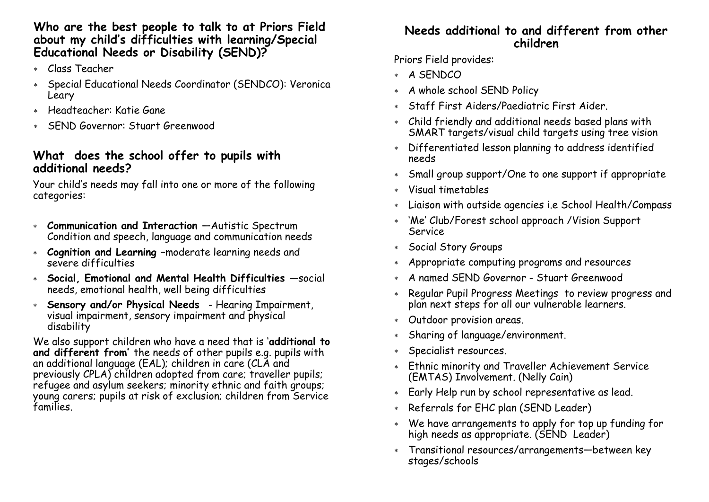#### **Who are the best people to talk to at Priors Field about my child's difficulties with learning/Special Educational Needs or Disability (SEND)?**

- Class Teacher
- Special Educational Needs Coordinator (SENDCO): Veronica Leary
- Headteacher: Katie Gane
- SEND Governor: Stuart Greenwood

#### **What does the school offer to pupils with additional needs?**

Your child's needs may fall into one or more of the following categories:

- **Communication and Interaction** —Autistic Spectrum Condition and speech, language and communication needs
- **Cognition and Learning –**moderate learning needs and severe difficulties
- **Social, Emotional and Mental Health Difficulties** —social needs, emotional health, well being difficulties
- **Sensory and/or Physical Needs**  Hearing Impairment, visual impairment, sensory impairment and physical disability

We also support children who have a need that is '**additional to and different from'** the needs of other pupils e.g. pupils with an additional language (EAL); children in care (CLA and previously CPLA) children adopted from care; traveller pupils; refugee and asylum seekers; minority ethnic and faith groups; young carers; pupils at risk of exclusion; children from Service families.

#### **Needs additional to and different from other children**

Priors Field provides:

- A SENDCO
- A whole school SEND Policy
- Staff First Aiders/Paediatric First Aider.
- Child friendly and additional needs based plans with SMART targets/visual child targets using tree vision
- Differentiated lesson planning to address identified needs
- Small group support/One to one support if appropriate
- Visual timetables
- Liaison with outside agencies i.e School Health/Compass
- 'Me' Club/Forest school approach /Vision Support Service
- Social Story Groups
- Appropriate computing programs and resources
- A named SEND Governor Stuart Greenwood
- Regular Pupil Progress Meetings to review progress and plan next steps for all our vulnerable learners.
- Outdoor provision areas.
- Sharing of language/environment.
- Specialist resources.
- Ethnic minority and Traveller Achievement Service (EMTAS) Involvement. (Nelly Cain)
- Early Help run by school representative as lead.
- Referrals for EHC plan (SEND Leader)
- We have arrangements to apply for top up funding for high needs as appropriate. (SEND Leader)
- Transitional resources/arrangements—between key stages/schools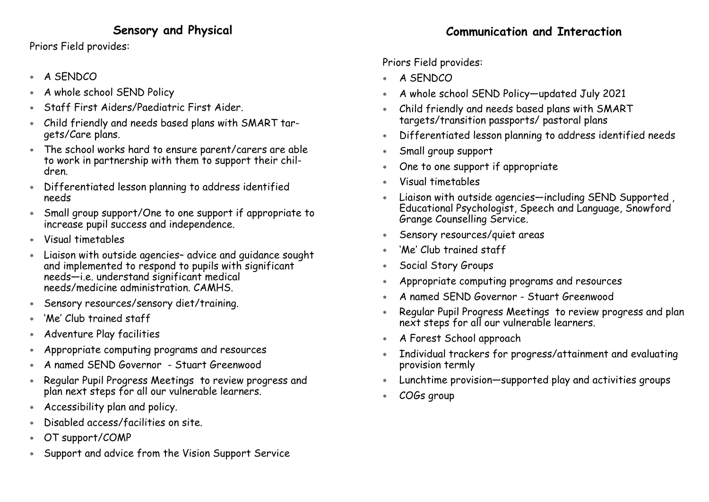## **Sensory and Physical**

Priors Field provides:

- A SENDCO
- A whole school SEND Policy
- Staff First Aiders/Paediatric First Aider.
- Child friendly and needs based plans with SMART targets/Care plans.
- The school works hard to ensure parent/carers are able to work in partnership with them to support their children.
- Differentiated lesson planning to address identified needs
- Small group support/One to one support if appropriate to increase pupil success and independence.
- Visual timetables
- Liaison with outside agencies– advice and guidance sought and implemented to respond to pupils with significant needs—i.e. understand significant medical needs/medicine administration. CAMHS.
- Sensory resources/sensory diet/training.
- 'Me' Club trained staff
- Adventure Play facilities
- Appropriate computing programs and resources
- A named SEND Governor Stuart Greenwood
- \* Regular Pupil Progress Meetings to review progress and plan next steps for all our vulnerable learners.
- Accessibility plan and policy.
- Disabled access/facilities on site.
- OT support/COMP
- Support and advice from the Vision Support Service

# Priors Field provides:

- \* A SENDCO
- A whole school SEND Policy—updated July 2021
- Child friendly and needs based plans with SMART targets/transition passports/ pastoral plans
- Differentiated lesson planning to address identified needs
- Small group support
- One to one support if appropriate
- Visual timetables
- Liaison with outside agencies—including SEND Supported , Educational Psychologist, Speech and Language, Snowford Grange Counselling Service.
- Sensory resources/quiet areas
- 'Me' Club trained staff
- Social Story Groups
- Appropriate computing programs and resources
- A named SEND Governor Stuart Greenwood
- \* Regular Pupil Progress Meetings to review progress and plan next steps for all our vulnerable learners.
- A Forest School approach
- Individual trackers for progress/attainment and evaluating provision termly
- Lunchtime provision—supported play and activities groups
- COGs group

# **Communication and Interaction**